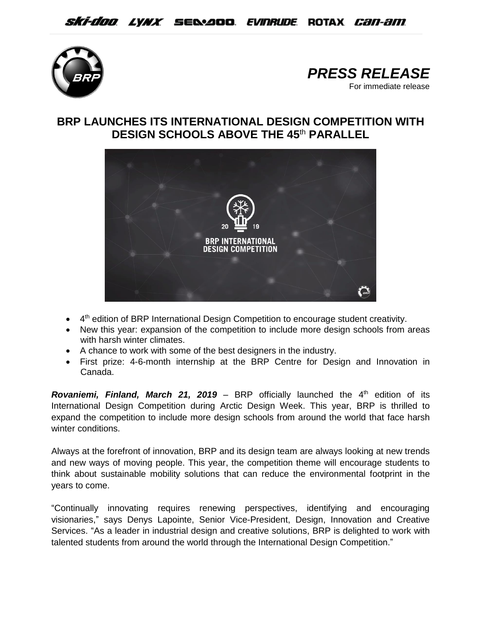



## **BRP LAUNCHES ITS INTERNATIONAL DESIGN COMPETITION WITH DESIGN SCHOOLS ABOVE THE 45**th **PARALLEL**



- 4<sup>th</sup> edition of BRP International Design Competition to encourage student creativity.
- New this year: expansion of the competition to include more design schools from areas with harsh winter climates.
- A chance to work with some of the best designers in the industry.
- First prize: 4-6-month internship at the BRP Centre for Design and Innovation in Canada.

**Rovaniemi, Finland, March 21, 2019** – BRP officially launched the 4<sup>th</sup> edition of its International Design Competition during Arctic Design Week. This year, BRP is thrilled to expand the competition to include more design schools from around the world that face harsh winter conditions.

Always at the forefront of innovation, BRP and its design team are always looking at new trends and new ways of moving people. This year, the competition theme will encourage students to think about sustainable mobility solutions that can reduce the environmental footprint in the years to come.

"Continually innovating requires renewing perspectives, identifying and encouraging visionaries," says Denys Lapointe, Senior Vice-President, Design, Innovation and Creative Services. "As a leader in industrial design and creative solutions, BRP is delighted to work with talented students from around the world through the International Design Competition."